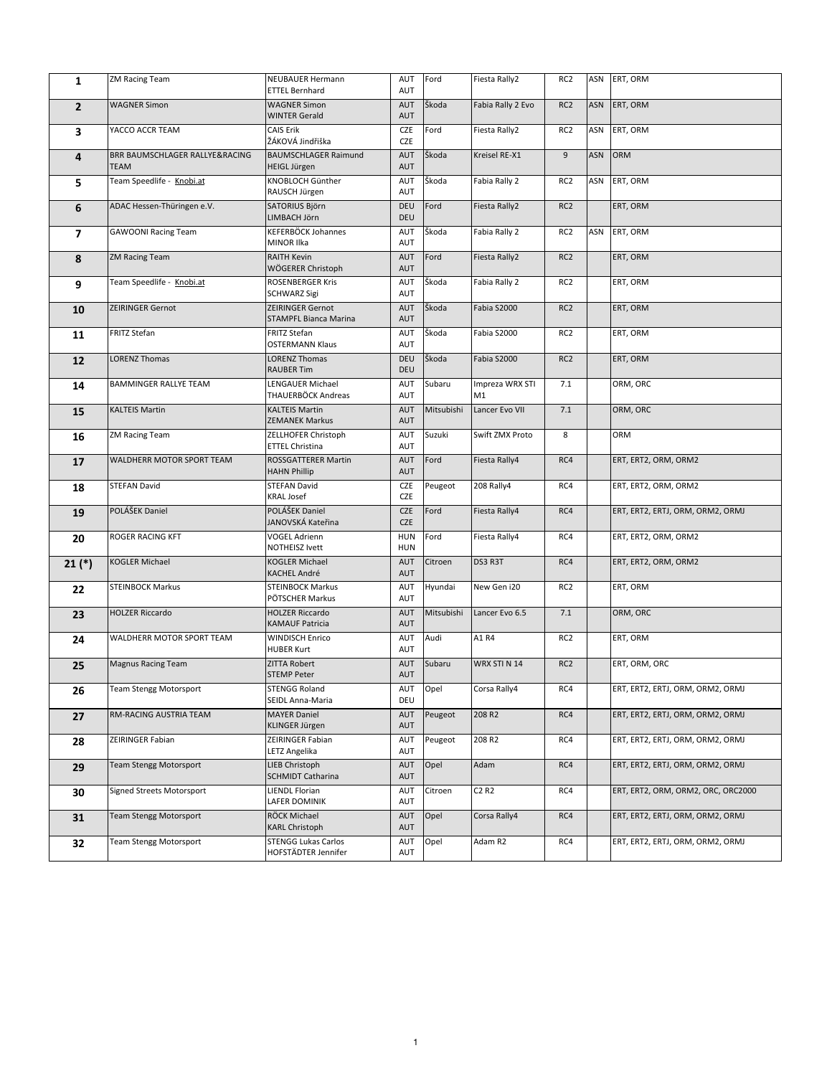| 1              | <b>ZM Racing Team</b>                         | NEUBAUER Hermann<br><b>ETTEL Bernhard</b>         | AUT<br>AUT               | Ford       | Fiesta Rally2                 | RC <sub>2</sub> |            | ASN ERT, ORM                       |
|----------------|-----------------------------------------------|---------------------------------------------------|--------------------------|------------|-------------------------------|-----------------|------------|------------------------------------|
| $\overline{2}$ | <b>WAGNER Simon</b>                           | <b>WAGNER Simon</b><br><b>WINTER Gerald</b>       | <b>AUT</b><br>AUT        | Škoda      | Fabia Rally 2 Evo             | RC <sub>2</sub> | <b>ASN</b> | ERT, ORM                           |
| 3              | YACCO ACCR TEAM                               | <b>CAIS Erik</b><br>ŽÁKOVÁ Jindřiška              | CZE<br>CZE               | Ford       | Fiesta Rally2                 | RC <sub>2</sub> | ASN        | ERT, ORM                           |
| 4              | BRR BAUMSCHLAGER RALLYE&RACING<br><b>TEAM</b> | <b>BAUMSCHLAGER Raimund</b><br>HEIGL Jürgen       | AUT<br><b>AUT</b>        | Škoda      | Kreisel RE-X1                 | 9               | <b>ASN</b> | ORM                                |
| 5              | Team Speedlife - Knobi.at                     | KNOBLOCH Günther<br>RAUSCH Jürgen                 | AUT<br>AUT               | Škoda      | Fabia Rally 2                 | RC <sub>2</sub> | ASN        | ERT, ORM                           |
| 6              | ADAC Hessen-Thüringen e.V.                    | SATORIUS Björn<br>LIMBACH Jörn                    | DEU<br>DEU               | Ford       | Fiesta Rally2                 | RC <sub>2</sub> |            | ERT, ORM                           |
| $\overline{7}$ | <b>GAWOONI Racing Team</b>                    | KEFERBÖCK Johannes<br>MINOR Ilka                  | AUT<br><b>AUT</b>        | Škoda      | Fabia Rally 2                 | RC <sub>2</sub> | ASN        | ERT, ORM                           |
| 8              | <b>ZM Racing Team</b>                         | <b>RAITH Kevin</b><br>WÖGERER Christoph           | AUT<br><b>AUT</b>        | Ford       | Fiesta Rally2                 | RC <sub>2</sub> |            | ERT, ORM                           |
| 9              | Team Speedlife - Knobi.at                     | <b>ROSENBERGER Kris</b><br><b>SCHWARZ Sigi</b>    | AUT<br>AUT               | Škoda      | Fabia Rally 2                 | RC <sub>2</sub> |            | ERT, ORM                           |
| 10             | ZEIRINGER Gernot                              | ZEIRINGER Gernot<br><b>STAMPFL Bianca Marina</b>  | AUT<br><b>AUT</b>        | Škoda      | Fabia S2000                   | RC <sub>2</sub> |            | ERT, ORM                           |
| 11             | FRITZ Stefan                                  | FRITZ Stefan<br><b>OSTERMANN Klaus</b>            | AUT<br>AUT               | Škoda      | Fabia S2000                   | RC <sub>2</sub> |            | ERT, ORM                           |
| 12             | <b>LORENZ Thomas</b>                          | <b>LORENZ Thomas</b><br><b>RAUBER Tim</b>         | DEU<br><b>DEU</b>        | Škoda      | Fabia S2000                   | RC <sub>2</sub> |            | ERT, ORM                           |
| 14             | BAMMINGER RALLYE TEAM                         | LENGAUER Michael<br>THAUERBÖCK Andreas            | AUT<br>AUT               | Subaru     | Impreza WRX STI<br>M1         | 7.1             |            | ORM, ORC                           |
| 15             | <b>KALTEIS Martin</b>                         | <b>KALTEIS Martin</b><br><b>ZEMANEK Markus</b>    | AUT<br><b>AUT</b>        | Mitsubishi | Lancer Evo VII                | 7.1             |            | ORM, ORC                           |
| 16             | <b>ZM Racing Team</b>                         | ZELLHOFER Christoph<br>ETTEL Christina            | AUT<br>AUT               | Suzuki     | Swift ZMX Proto               | 8               |            | ORM                                |
| 17             | WALDHERR MOTOR SPORT TEAM                     | <b>ROSSGATTERER Martin</b><br><b>HAHN Phillip</b> | AUT<br><b>AUT</b>        | Ford       | Fiesta Rally4                 | RC4             |            | ERT, ERT2, ORM, ORM2               |
| 18             | <b>STEFAN David</b>                           | STEFAN David<br><b>KRAL Josef</b>                 | CZE<br>CZE               | Peugeot    | 208 Rally4                    | RC4             |            | ERT, ERT2, ORM, ORM2               |
| 19             | POLÁŠEK Daniel                                | POLÁŠEK Daniel<br>JANOVSKÁ Kateřina               | CZE<br><b>CZE</b>        | Ford       | Fiesta Rally4                 | RC4             |            | ERT, ERT2, ERTJ, ORM, ORM2, ORMJ   |
| 20             | ROGER RACING KFT                              | VOGEL Adrienn<br>NOTHEISZ Ivett                   | <b>HUN</b><br><b>HUN</b> | Ford       | Fiesta Rally4                 | RC4             |            | ERT, ERT2, ORM, ORM2               |
| $21 (*)$       | <b>KOGLER Michael</b>                         | <b>KOGLER Michael</b><br>KACHEL André             | AUT<br><b>AUT</b>        | Citroen    | DS3 R3T                       | RC4             |            | ERT, ERT2, ORM, ORM2               |
| 22             | <b>STEINBOCK Markus</b>                       | <b>STEINBOCK Markus</b><br>PÖTSCHER Markus        | AUT<br>AUT               | Hyundai    | New Gen i20                   | RC <sub>2</sub> |            | ERT, ORM                           |
| 23             | <b>HOLZER Riccardo</b>                        | <b>HOLZER Riccardo</b><br>KAMAUF Patricia         | AUT<br><b>AUT</b>        | Mitsubishi | Lancer Evo 6.5                | 7.1             |            | ORM, ORC                           |
| 24             | WALDHERR MOTOR SPORT TEAM                     | <b>WINDISCH Enrico</b><br><b>HUBER Kurt</b>       | AUT<br>AUT               | Audi       | A1 R4                         | RC <sub>2</sub> |            | ERT, ORM                           |
| 25             | <b>Magnus Racing Team</b>                     | <b>ZITTA Robert</b><br><b>STEMP Peter</b>         | AUT<br>AUT               | Subaru     | WRX STI N 14                  | RC <sub>2</sub> |            | ERT, ORM, ORC                      |
| 26             | <b>Team Stengg Motorsport</b>                 | <b>STENGG Roland</b><br>SEIDL Anna-Maria          | AUT<br>DEU               | Opel       | Corsa Rally4                  | RC4             |            | ERT, ERT2, ERTJ, ORM, ORM2, ORMJ   |
| 27             | RM-RACING AUSTRIA TEAM                        | <b>MAYER Daniel</b><br>KLINGER Jürgen             | AUT<br><b>AUT</b>        | Peugeot    | 208 R2                        | RC4             |            | ERT, ERT2, ERTJ, ORM, ORM2, ORMJ   |
| 28             | ZEIRINGER Fabian                              | ZEIRINGER Fabian<br>LETZ Angelika                 | AUT<br>AUT               | Peugeot    | 208 R2                        | RC4             |            | ERT, ERT2, ERTJ, ORM, ORM2, ORMJ   |
| 29             | Team Stengg Motorsport                        | LIEB Christoph<br>SCHMIDT Catharina               | AUT<br><b>AUT</b>        | Opel       | Adam                          | RC4             |            | ERT, ERT2, ERTJ, ORM, ORM2, ORMJ   |
| 30             | Signed Streets Motorsport                     | <b>LIENDL Florian</b><br>LAFER DOMINIK            | AUT<br>AUT               | Citroen    | C <sub>2</sub> R <sub>2</sub> | RC4             |            | ERT, ERT2, ORM, ORM2, ORC, ORC2000 |
| 31             | <b>Team Stengg Motorsport</b>                 | RÖCK Michael<br><b>KARL Christoph</b>             | AUT<br><b>AUT</b>        | Opel       | Corsa Rally4                  | RC4             |            | ERT, ERT2, ERTJ, ORM, ORM2, ORMJ   |
| 32             | Team Stengg Motorsport                        | <b>STENGG Lukas Carlos</b><br>HOFSTÄDTER Jennifer | AUT<br>AUT               | Opel       | Adam R2                       | RC4             |            | ERT, ERT2, ERTJ, ORM, ORM2, ORMJ   |